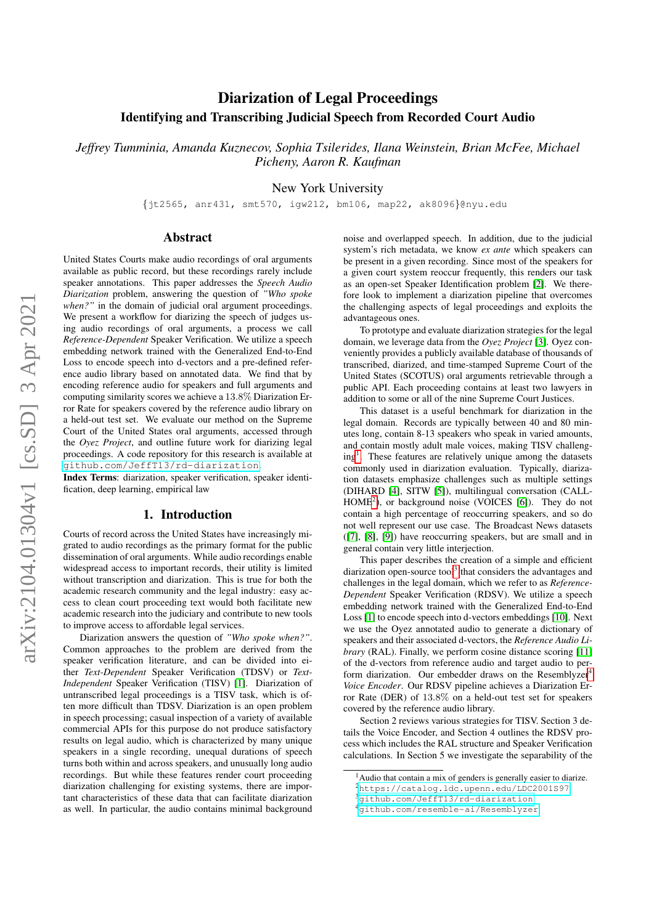# Diarization of Legal Proceedings Identifying and Transcribing Judicial Speech from Recorded Court Audio

*Jeffrey Tumminia, Amanda Kuznecov, Sophia Tsilerides, Ilana Weinstein, Brian McFee, Michael Picheny, Aaron R. Kaufman*

New York University

{jt2565, anr431, smt570, igw212, bm106, map22, ak8096}@nyu.edu

## Abstract

United States Courts make audio recordings of oral arguments available as public record, but these recordings rarely include speaker annotations. This paper addresses the *Speech Audio Diarization* problem, answering the question of *"Who spoke when?"* in the domain of judicial oral argument proceedings. We present a workflow for diarizing the speech of judges using audio recordings of oral arguments, a process we call *Reference-Dependent* Speaker Verification. We utilize a speech embedding network trained with the Generalized End-to-End Loss to encode speech into d-vectors and a pre-defined reference audio library based on annotated data. We find that by encoding reference audio for speakers and full arguments and computing similarity scores we achieve a 13.8% Diarization Error Rate for speakers covered by the reference audio library on a held-out test set. We evaluate our method on the Supreme Court of the United States oral arguments, accessed through the *Oyez Project*, and outline future work for diarizing legal proceedings. A code repository for this research is available at <github.com/JeffT13/rd-diarization>.

Index Terms: diarization, speaker verification, speaker identification, deep learning, empirical law

#### 1. Introduction

Courts of record across the United States have increasingly migrated to audio recordings as the primary format for the public dissemination of oral arguments. While audio recordings enable widespread access to important records, their utility is limited without transcription and diarization. This is true for both the academic research community and the legal industry: easy access to clean court proceeding text would both facilitate new academic research into the judiciary and contribute to new tools to improve access to affordable legal services.

Diarization answers the question of *"Who spoke when?"*. Common approaches to the problem are derived from the speaker verification literature, and can be divided into either *Text-Dependent* Speaker Verification (TDSV) or *Text-Independent* Speaker Verification (TISV) [\[1\]](#page-4-0). Diarization of untranscribed legal proceedings is a TISV task, which is often more difficult than TDSV. Diarization is an open problem in speech processing; casual inspection of a variety of available commercial APIs for this purpose do not produce satisfactory results on legal audio, which is characterized by many unique speakers in a single recording, unequal durations of speech turns both within and across speakers, and unusually long audio recordings. But while these features render court proceeding diarization challenging for existing systems, there are important characteristics of these data that can facilitate diarization as well. In particular, the audio contains minimal background noise and overlapped speech. In addition, due to the judicial system's rich metadata, we know *ex ante* which speakers can be present in a given recording. Since most of the speakers for a given court system reoccur frequently, this renders our task as an open-set Speaker Identification problem [\[2\]](#page-4-1). We therefore look to implement a diarization pipeline that overcomes the challenging aspects of legal proceedings and exploits the advantageous ones.

To prototype and evaluate diarization strategies for the legal domain, we leverage data from the *Oyez Project* [\[3\]](#page-4-2). Oyez conveniently provides a publicly available database of thousands of transcribed, diarized, and time-stamped Supreme Court of the United States (SCOTUS) oral arguments retrievable through a public API. Each proceeding contains at least two lawyers in addition to some or all of the nine Supreme Court Justices.

This dataset is a useful benchmark for diarization in the legal domain. Records are typically between 40 and 80 minutes long, contain 8-13 speakers who speak in varied amounts, and contain mostly adult male voices, making TISV challeng-ing<sup>[1](#page-0-0)</sup>. These features are relatively unique among the datasets commonly used in diarization evaluation. Typically, diarization datasets emphasize challenges such as multiple settings (DIHARD [\[4\]](#page-4-3), SITW [\[5\]](#page-4-4)), multilingual conversation (CALL- $HOME<sup>2</sup>$  $HOME<sup>2</sup>$  $HOME<sup>2</sup>$ ), or background noise (VOICES [\[6\]](#page-4-5)). They do not contain a high percentage of reoccurring speakers, and so do not well represent our use case. The Broadcast News datasets ([\[7\]](#page-4-6), [\[8\]](#page-4-7), [\[9\]](#page-4-8)) have reoccurring speakers, but are small and in general contain very little interjection.

This paper describes the creation of a simple and efficient diarization open-source tool<sup>[3](#page-0-2)</sup> that considers the advantages and challenges in the legal domain, which we refer to as *Reference-Dependent* Speaker Verification (RDSV). We utilize a speech embedding network trained with the Generalized End-to-End Loss [\[1\]](#page-4-0) to encode speech into d-vectors embeddings [\[10\]](#page-4-9). Next we use the Oyez annotated audio to generate a dictionary of speakers and their associated d-vectors, the *Reference Audio Library* (RAL). Finally, we perform cosine distance scoring [\[11\]](#page-4-10) of the d-vectors from reference audio and target audio to per-form diarization. Our embedder draws on the Resemblyzer<sup>[4](#page-0-3)</sup> *Voice Encoder*. Our RDSV pipeline achieves a Diarization Error Rate (DER) of 13.8% on a held-out test set for speakers covered by the reference audio library.

Section 2 reviews various strategies for TISV. Section 3 details the Voice Encoder, and Section 4 outlines the RDSV process which includes the RAL structure and Speaker Verification calculations. In Section 5 we investigate the separability of the

<span id="page-0-0"></span><sup>&</sup>lt;sup>1</sup>Audio that contain a mix of genders is generally easier to diarize.

<span id="page-0-1"></span><sup>2</sup><https://catalog.ldc.upenn.edu/LDC2001S97>

<span id="page-0-2"></span><sup>3</sup><github.com/JeffT13/rd-diarization>

<span id="page-0-3"></span><sup>4</sup><github.com/resemble-ai/Resemblyzer>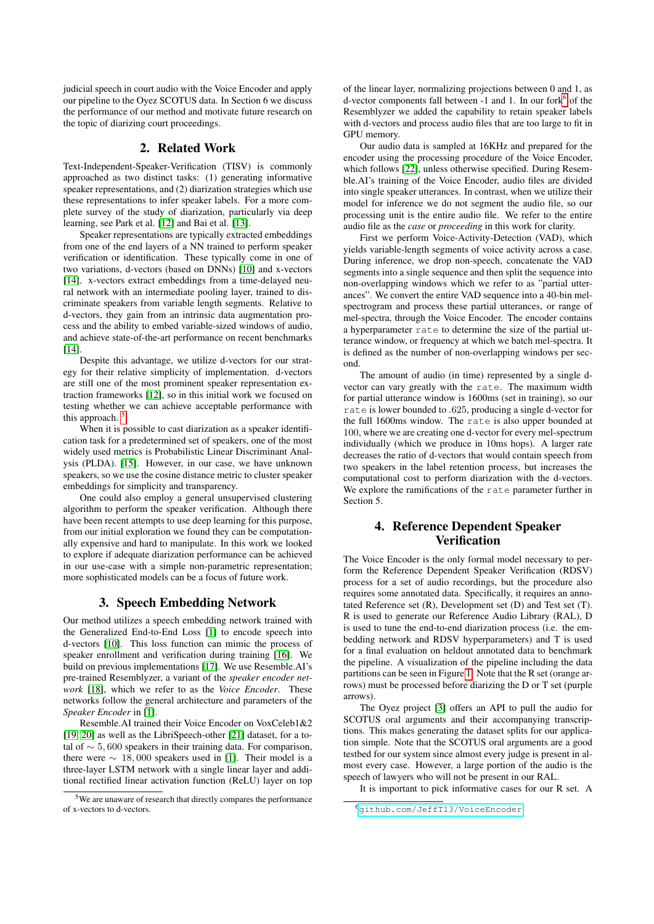judicial speech in court audio with the Voice Encoder and apply our pipeline to the Oyez SCOTUS data. In Section 6 we discuss the performance of our method and motivate future research on the topic of diarizing court proceedings.

## 2. Related Work

Text-Independent-Speaker-Verification (TISV) is commonly approached as two distinct tasks: (1) generating informative speaker representations, and (2) diarization strategies which use these representations to infer speaker labels. For a more complete survey of the study of diarization, particularly via deep learning, see Park et al. [\[12\]](#page-4-11) and Bai et al. [\[13\]](#page-4-12).

Speaker representations are typically extracted embeddings from one of the end layers of a NN trained to perform speaker verification or identification. These typically come in one of two variations, d-vectors (based on DNNs) [\[10\]](#page-4-9) and x-vectors [\[14\]](#page-4-13). x-vectors extract embeddings from a time-delayed neural network with an intermediate pooling layer, trained to discriminate speakers from variable length segments. Relative to d-vectors, they gain from an intrinsic data augmentation process and the ability to embed variable-sized windows of audio, and achieve state-of-the-art performance on recent benchmarks [\[14\]](#page-4-13).

Despite this advantage, we utilize d-vectors for our strategy for their relative simplicity of implementation. d-vectors are still one of the most prominent speaker representation extraction frameworks [\[12\]](#page-4-11), so in this initial work we focused on testing whether we can achieve acceptable performance with this approach.<sup>[5](#page-1-0)</sup>

When it is possible to cast diarization as a speaker identification task for a predetermined set of speakers, one of the most widely used metrics is Probabilistic Linear Discriminant Analysis (PLDA). [\[15\]](#page-4-14). However, in our case, we have unknown speakers, so we use the cosine distance metric to cluster speaker embeddings for simplicity and transparency.

One could also employ a general unsupervised clustering algorithm to perform the speaker verification. Although there have been recent attempts to use deep learning for this purpose, from our initial exploration we found they can be computationally expensive and hard to manipulate. In this work we looked to explore if adequate diarization performance can be achieved in our use-case with a simple non-parametric representation; more sophisticated models can be a focus of future work.

#### 3. Speech Embedding Network

Our method utilizes a speech embedding network trained with the Generalized End-to-End Loss [\[1\]](#page-4-0) to encode speech into d-vectors [\[10\]](#page-4-9). This loss function can mimic the process of speaker enrollment and verification during training [\[16\]](#page-4-15). We build on previous implementations [\[17\]](#page-4-16). We use Resemble.AI's pre-trained Resemblyzer, a variant of the *speaker encoder network* [\[18\]](#page-4-17), which we refer to as the *Voice Encoder*. These networks follow the general architecture and parameters of the *Speaker Encoder* in [\[1\]](#page-4-0).

Resemble.AI trained their Voice Encoder on VoxCeleb1&2 [\[19,](#page-4-18) [20\]](#page-4-19) as well as the LibriSpeech-other [\[21\]](#page-4-20) dataset, for a total of  $\sim 5,600$  speakers in their training data. For comparison, there were  $\sim 18,000$  speakers used in [\[1\]](#page-4-0). Their model is a three-layer LSTM network with a single linear layer and additional rectified linear activation function (ReLU) layer on top of the linear layer, normalizing projections between 0 and 1, as d-vector components fall between -1 and 1. In our fork<sup>[6](#page-1-1)</sup> of the Resemblyzer we added the capability to retain speaker labels with d-vectors and process audio files that are too large to fit in GPU memory.

Our audio data is sampled at 16KHz and prepared for the encoder using the processing procedure of the Voice Encoder, which follows [\[22\]](#page-4-21), unless otherwise specified. During Resemble.AI's training of the Voice Encoder, audio files are divided into single speaker utterances. In contrast, when we utilize their model for inference we do not segment the audio file, so our processing unit is the entire audio file. We refer to the entire audio file as the *case* or *proceeding* in this work for clarity.

First we perform Voice-Activity-Detection (VAD), which yields variable-length segments of voice activity across a case. During inference, we drop non-speech, concatenate the VAD segments into a single sequence and then split the sequence into non-overlapping windows which we refer to as "partial utterances". We convert the entire VAD sequence into a 40-bin melspectrogram and process these partial utterances, or range of mel-spectra, through the Voice Encoder. The encoder contains a hyperparameter rate to determine the size of the partial utterance window, or frequency at which we batch mel-spectra. It is defined as the number of non-overlapping windows per second.

The amount of audio (in time) represented by a single dvector can vary greatly with the rate. The maximum width for partial utterance window is 1600ms (set in training), so our rate is lower bounded to .625, producing a single d-vector for the full 1600ms window. The rate is also upper bounded at 100, where we are creating one d-vector for every mel-spectrum individually (which we produce in 10ms hops). A larger rate decreases the ratio of d-vectors that would contain speech from two speakers in the label retention process, but increases the computational cost to perform diarization with the d-vectors. We explore the ramifications of the rate parameter further in Section 5.

# 4. Reference Dependent Speaker **Verification**

The Voice Encoder is the only formal model necessary to perform the Reference Dependent Speaker Verification (RDSV) process for a set of audio recordings, but the procedure also requires some annotated data. Specifically, it requires an annotated Reference set (R), Development set (D) and Test set (T). R is used to generate our Reference Audio Library (RAL), D is used to tune the end-to-end diarization process (i.e. the embedding network and RDSV hyperparameters) and T is used for a final evaluation on heldout annotated data to benchmark the pipeline. A visualization of the pipeline including the data partitions can be seen in Figure [1.](#page-2-0) Note that the R set (orange arrows) must be processed before diarizing the D or T set (purple arrows).

The Oyez project [\[3\]](#page-4-2) offers an API to pull the audio for SCOTUS oral arguments and their accompanying transcriptions. This makes generating the dataset splits for our application simple. Note that the SCOTUS oral arguments are a good testbed for our system since almost every judge is present in almost every case. However, a large portion of the audio is the speech of lawyers who will not be present in our RAL.

It is important to pick informative cases for our R set. A

<span id="page-1-0"></span><sup>5</sup>We are unaware of research that directly compares the performance of x-vectors to d-vectors.

<span id="page-1-1"></span><sup>6</sup><github.com/JeffT13/VoiceEncoder>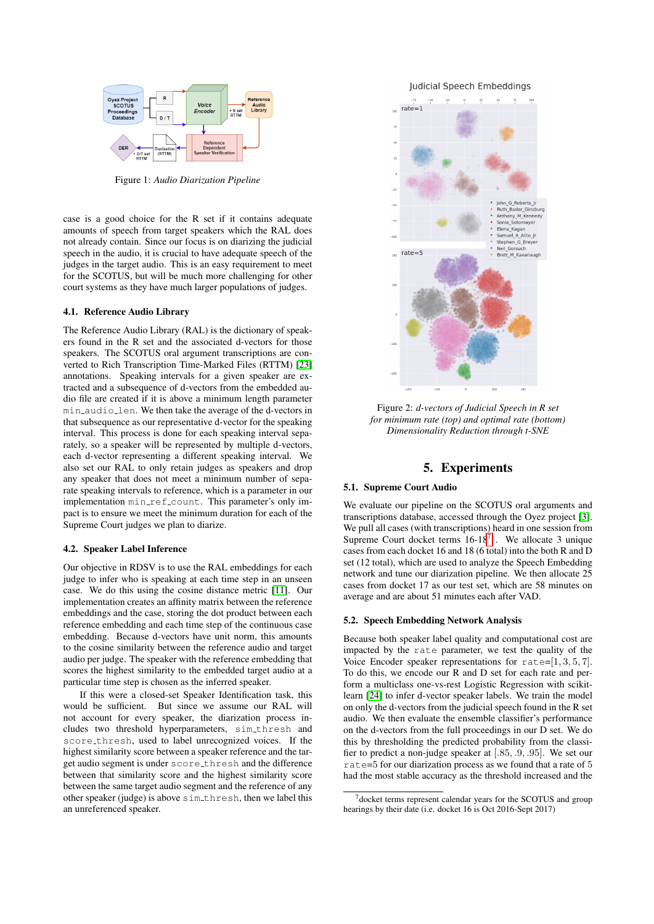<span id="page-2-0"></span>

Figure 1: *Audio Diarization Pipeline*

case is a good choice for the R set if it contains adequate amounts of speech from target speakers which the RAL does not already contain. Since our focus is on diarizing the judicial speech in the audio, it is crucial to have adequate speech of the judges in the target audio. This is an easy requirement to meet for the SCOTUS, but will be much more challenging for other court systems as they have much larger populations of judges.

## 4.1. Reference Audio Library

The Reference Audio Library (RAL) is the dictionary of speakers found in the R set and the associated d-vectors for those speakers. The SCOTUS oral argument transcriptions are converted to Rich Transcription Time-Marked Files (RTTM) [\[23\]](#page-4-22) annotations. Speaking intervals for a given speaker are extracted and a subsequence of d-vectors from the embedded audio file are created if it is above a minimum length parameter min audio len. We then take the average of the d-vectors in that subsequence as our representative d-vector for the speaking interval. This process is done for each speaking interval separately, so a speaker will be represented by multiple d-vectors, each d-vector representing a different speaking interval. We also set our RAL to only retain judges as speakers and drop any speaker that does not meet a minimum number of separate speaking intervals to reference, which is a parameter in our implementation min\_ref\_count. This parameter's only impact is to ensure we meet the minimum duration for each of the Supreme Court judges we plan to diarize.

#### 4.2. Speaker Label Inference

Our objective in RDSV is to use the RAL embeddings for each judge to infer who is speaking at each time step in an unseen case. We do this using the cosine distance metric [\[11\]](#page-4-10). Our implementation creates an affinity matrix between the reference embeddings and the case, storing the dot product between each reference embedding and each time step of the continuous case embedding. Because d-vectors have unit norm, this amounts to the cosine similarity between the reference audio and target audio per judge. The speaker with the reference embedding that scores the highest similarity to the embedded target audio at a particular time step is chosen as the inferred speaker.

If this were a closed-set Speaker Identification task, this would be sufficient. But since we assume our RAL will not account for every speaker, the diarization process includes two threshold hyperparameters, sim\_thresh and score thresh, used to label unrecognized voices. If the highest similarity score between a speaker reference and the target audio segment is under score\_thresh and the difference between that similarity score and the highest similarity score between the same target audio segment and the reference of any other speaker (judge) is above sim thresh, then we label this an unreferenced speaker.

Judicial Speech Embeddings

<span id="page-2-2"></span>

Figure 2: *d-vectors of Judicial Speech in R set for minimum rate (top) and optimal rate (bottom) Dimensionality Reduction through t-SNE*

## 5. Experiments

## 5.1. Supreme Court Audio

We evaluate our pipeline on the SCOTUS oral arguments and transcriptions database, accessed through the Oyez project [\[3\]](#page-4-2). We pull all cases (with transcriptions) heard in one session from Supreme Court docket terms  $16-18^7$  $16-18^7$ . We allocate 3 unique cases from each docket 16 and 18 (6 total) into the both R and D set (12 total), which are used to analyze the Speech Embedding network and tune our diarization pipeline. We then allocate 25 cases from docket 17 as our test set, which are 58 minutes on average and are about 51 minutes each after VAD.

#### 5.2. Speech Embedding Network Analysis

Because both speaker label quality and computational cost are impacted by the rate parameter, we test the quality of the Voice Encoder speaker representations for  $rate=[1, 3, 5, 7]$ . To do this, we encode our R and D set for each rate and perform a multiclass one-vs-rest Logistic Regression with scikitlearn [\[24\]](#page-4-23) to infer d-vector speaker labels. We train the model on only the d-vectors from the judicial speech found in the R set audio. We then evaluate the ensemble classifier's performance on the d-vectors from the full proceedings in our D set. We do this by thresholding the predicted probability from the classifier to predict a non-judge speaker at [.85, .9, .95]. We set our rate=5 for our diarization process as we found that a rate of 5 had the most stable accuracy as the threshold increased and the

<span id="page-2-1"></span><sup>7</sup>docket terms represent calendar years for the SCOTUS and group hearings by their date (i.e. docket 16 is Oct 2016-Sept 2017)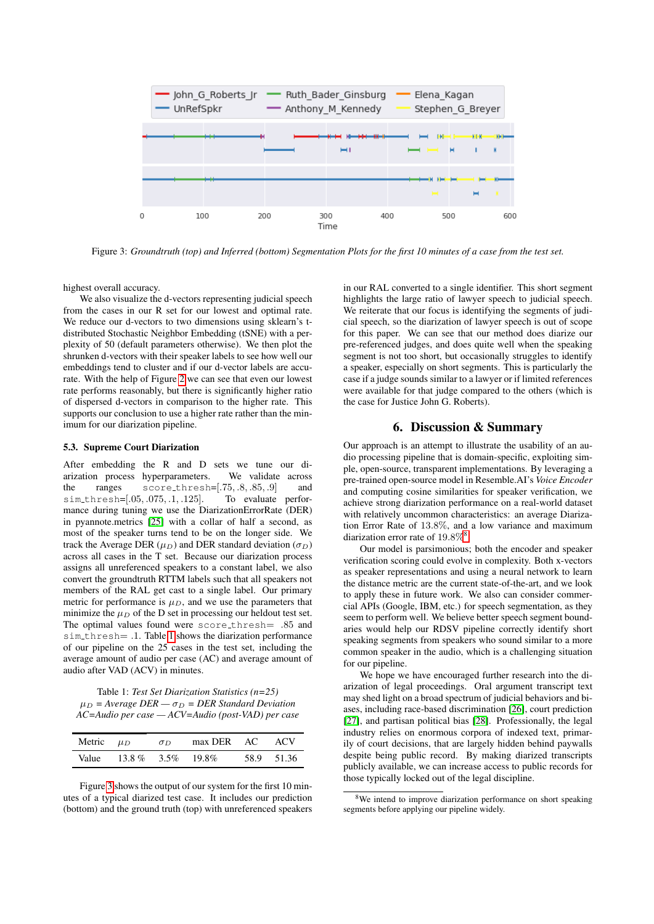<span id="page-3-1"></span>

Figure 3: *Groundtruth (top) and Inferred (bottom) Segmentation Plots for the first 10 minutes of a case from the test set.*

highest overall accuracy.

We also visualize the d-vectors representing judicial speech from the cases in our R set for our lowest and optimal rate. We reduce our d-vectors to two dimensions using sklearn's tdistributed Stochastic Neighbor Embedding (tSNE) with a perplexity of 50 (default parameters otherwise). We then plot the shrunken d-vectors with their speaker labels to see how well our embeddings tend to cluster and if our d-vector labels are accurate. With the help of Figure [2](#page-2-2) we can see that even our lowest rate performs reasonably, but there is significantly higher ratio of dispersed d-vectors in comparison to the higher rate. This supports our conclusion to use a higher rate rather than the minimum for our diarization pipeline.

#### 5.3. Supreme Court Diarization

After embedding the R and D sets we tune our diarization process hyperparameters. We validate across the ranges score\_thresh=[.75, .8, .85, .9] and sim thresh=[.05, .075, .1, .125]. To evaluate performance during tuning we use the DiarizationErrorRate (DER) in pyannote.metrics [\[25\]](#page-4-24) with a collar of half a second, as most of the speaker turns tend to be on the longer side. We track the Average DER ( $\mu_D$ ) and DER standard deviation ( $\sigma_D$ ) across all cases in the T set. Because our diarization process assigns all unreferenced speakers to a constant label, we also convert the groundtruth RTTM labels such that all speakers not members of the RAL get cast to a single label. Our primary metric for performance is  $\mu_D$ , and we use the parameters that minimize the  $\mu_D$  of the D set in processing our heldout test set. The optimal values found were score\_thresh= .85 and sim\_thresh= .1. Table [1](#page-3-0) shows the diarization performance of our pipeline on the 25 cases in the test set, including the average amount of audio per case (AC) and average amount of audio after VAD (ACV) in minutes.

<span id="page-3-0"></span>Table 1: *Test Set Diarization Statistics (n=25)*  $\mu_D$  = Average DER  $-\sigma_D$  = DER Standard Deviation *AC=Audio per case — ACV=Audio (post-VAD) per case*

| Metric $\mu_D$ |                         | $\sigma_D$ | max DER AC ACV |            |
|----------------|-------------------------|------------|----------------|------------|
|                | Value 13.8 % 3.5% 19.8% |            |                | 58.9 51.36 |

Figure [3](#page-3-1) shows the output of our system for the first 10 minutes of a typical diarized test case. It includes our prediction (bottom) and the ground truth (top) with unreferenced speakers in our RAL converted to a single identifier. This short segment highlights the large ratio of lawyer speech to judicial speech. We reiterate that our focus is identifying the segments of judicial speech, so the diarization of lawyer speech is out of scope for this paper. We can see that our method does diarize our pre-referenced judges, and does quite well when the speaking segment is not too short, but occasionally struggles to identify a speaker, especially on short segments. This is particularly the case if a judge sounds similar to a lawyer or if limited references were available for that judge compared to the others (which is the case for Justice John G. Roberts).

## 6. Discussion & Summary

Our approach is an attempt to illustrate the usability of an audio processing pipeline that is domain-specific, exploiting simple, open-source, transparent implementations. By leveraging a pre-trained open-source model in Resemble.AI's *Voice Encoder* and computing cosine similarities for speaker verification, we achieve strong diarization performance on a real-world dataset with relatively uncommon characteristics: an average Diarization Error Rate of 13.8%, and a low variance and maximum diarization error rate of  $19.8\%^{8}$  $19.8\%^{8}$  $19.8\%^{8}$ .

Our model is parsimonious; both the encoder and speaker verification scoring could evolve in complexity. Both x-vectors as speaker representations and using a neural network to learn the distance metric are the current state-of-the-art, and we look to apply these in future work. We also can consider commercial APIs (Google, IBM, etc.) for speech segmentation, as they seem to perform well. We believe better speech segment boundaries would help our RDSV pipeline correctly identify short speaking segments from speakers who sound similar to a more common speaker in the audio, which is a challenging situation for our pipeline.

We hope we have encouraged further research into the diarization of legal proceedings. Oral argument transcript text may shed light on a broad spectrum of judicial behaviors and biases, including race-based discrimination [\[26\]](#page-4-25), court prediction [\[27\]](#page-4-26), and partisan political bias [\[28\]](#page-4-27). Professionally, the legal industry relies on enormous corpora of indexed text, primarily of court decisions, that are largely hidden behind paywalls despite being public record. By making diarized transcripts publicly available, we can increase access to public records for those typically locked out of the legal discipline.

<span id="page-3-2"></span><sup>&</sup>lt;sup>8</sup>We intend to improve diarization performance on short speaking segments before applying our pipeline widely.